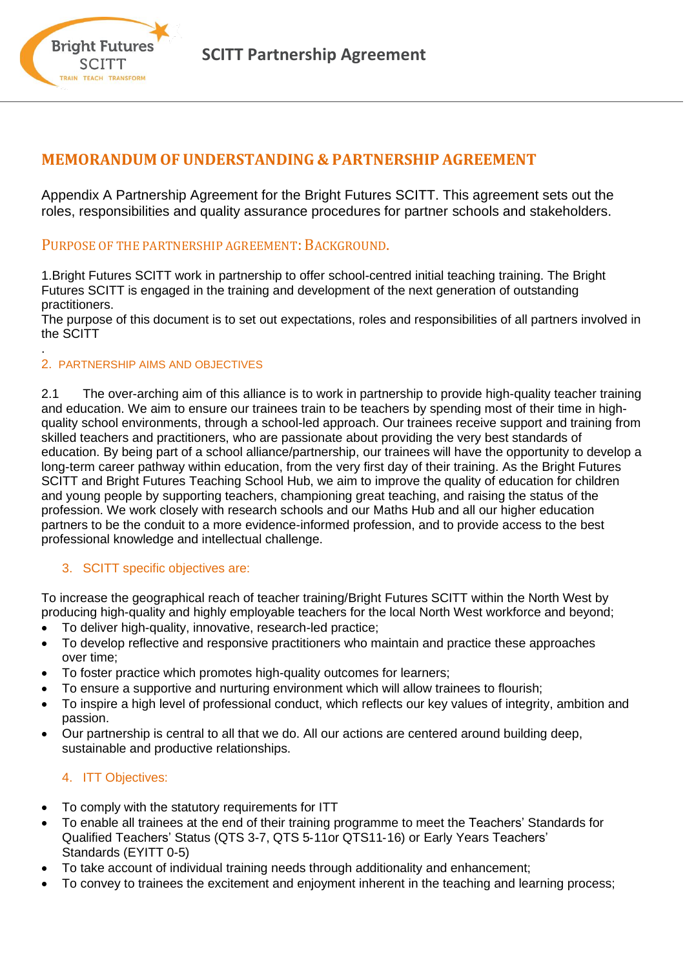

## **MEMORANDUM OFUNDERSTANDING & PARTNERSHIP AGREEMENT**

Appendix A Partnership Agreement for the Bright Futures SCITT. This agreement sets out the roles, responsibilities and quality assurance procedures for partner schools and stakeholders.

### PURPOSE OF THE PARTNERSHIP AGREEMENT: BACKGROUND.

1.Bright Futures SCITT work in partnership to offer school-centred initial teaching training. The Bright Futures SCITT is engaged in the training and development of the next generation of outstanding practitioners.

The purpose of this document is to set out expectations, roles and responsibilities of all partners involved in the SCITT

#### 2. PARTNERSHIP AIMS AND OBJECTIVES

**Bright Futures SCITT** TRAIN TEACH TRANSFORM

.

2.1 The over-arching aim of this alliance is to work in partnership to provide high-quality teacher training and education. We aim to ensure our trainees train to be teachers by spending most of their time in highquality school environments, through a school-led approach. Our trainees receive support and training from skilled teachers and practitioners, who are passionate about providing the very best standards of education. By being part of a school alliance/partnership, our trainees will have the opportunity to develop a long-term career pathway within education, from the very first day of their training. As the Bright Futures SCITT and Bright Futures Teaching School Hub, we aim to improve the quality of education for children and young people by supporting teachers, championing great teaching, and raising the status of the profession. We work closely with research schools and our Maths Hub and all our higher education partners to be the conduit to a more evidence-informed profession, and to provide access to the best professional knowledge and intellectual challenge.

#### 3. SCITT specific objectives are:

To increase the geographical reach of teacher training/Bright Futures SCITT within the North West by producing high-quality and highly employable teachers for the local North West workforce and beyond;

- To deliver high-quality, innovative, research-led practice;
- To develop reflective and responsive practitioners who maintain and practice these approaches over time;
- To foster practice which promotes high-quality outcomes for learners;
- To ensure a supportive and nurturing environment which will allow trainees to flourish;
- To inspire a high level of professional conduct, which reflects our key values of integrity, ambition and passion.
- Our partnership is central to all that we do. All our actions are centered around building deep, sustainable and productive relationships.

#### 4. ITT Objectives:

- To comply with the statutory requirements for ITT
- To enable all trainees at the end of their training programme to meet the Teachers' Standards for Qualified Teachers' Status (QTS 3-7, QTS 5‐11or QTS11‐16) or Early Years Teachers' Standards (EYITT 0-5)
- To take account of individual training needs through additionality and enhancement;
- To convey to trainees the excitement and enjoyment inherent in the teaching and learning process;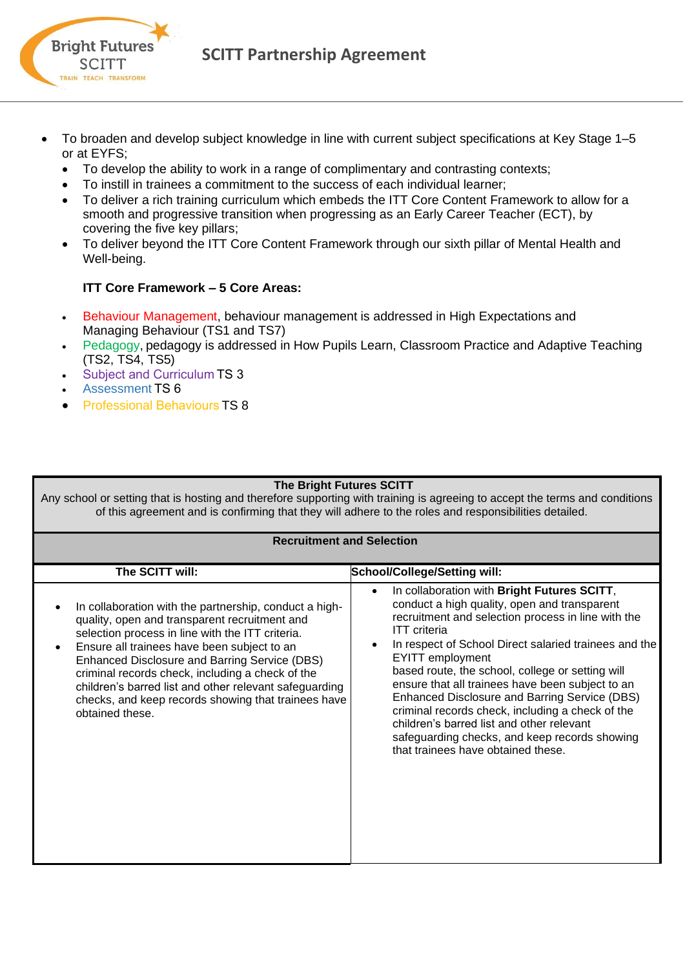

**SCITT Partnership Agreement** 

- To broaden and develop subject knowledge in line with current subject specifications at Key Stage 1–5 or at EYFS;
	- To develop the ability to work in a range of complimentary and contrasting contexts;
	- To instill in trainees a commitment to the success of each individual learner;
	- To deliver a rich training curriculum which embeds the ITT Core Content Framework to allow for a smooth and progressive transition when progressing as an Early Career Teacher (ECT), by covering the five key pillars;
	- To deliver beyond the ITT Core Content Framework through our sixth pillar of Mental Health and Well-being.

### **ITT Core Framework – 5 Core Areas:**

- Behaviour Management, behaviour management is addressed in High Expectations and Managing Behaviour (TS1 and TS7)
- Pedagogy, pedagogy is addressed in How Pupils Learn, Classroom Practice and Adaptive Teaching (TS2, TS4, TS5)
- Subject and Curriculum TS 3
- Assessment TS 6
- Professional Behaviours TS 8

#### **The Bright Futures SCITT**

Any school or setting that is hosting and therefore supporting with training is agreeing to accept the terms and conditions of this agreement and is confirming that they will adhere to the roles and responsibilities detailed.

#### **Recruitment and Selection**

| The SCITT will:                                                                                                                                                                                                                                                                                                                                                                                                                                     | <b>School/College/Setting will:</b>                                                                                                                                                                                                                                                                                                                                                                                                                                                                                                                                                                                                     |
|-----------------------------------------------------------------------------------------------------------------------------------------------------------------------------------------------------------------------------------------------------------------------------------------------------------------------------------------------------------------------------------------------------------------------------------------------------|-----------------------------------------------------------------------------------------------------------------------------------------------------------------------------------------------------------------------------------------------------------------------------------------------------------------------------------------------------------------------------------------------------------------------------------------------------------------------------------------------------------------------------------------------------------------------------------------------------------------------------------------|
| In collaboration with the partnership, conduct a high-<br>quality, open and transparent recruitment and<br>selection process in line with the ITT criteria.<br>Ensure all trainees have been subject to an<br>Enhanced Disclosure and Barring Service (DBS)<br>criminal records check, including a check of the<br>children's barred list and other relevant safeguarding<br>checks, and keep records showing that trainees have<br>obtained these. | In collaboration with Bright Futures SCITT,<br>$\bullet$<br>conduct a high quality, open and transparent<br>recruitment and selection process in line with the<br><b>ITT</b> criteria<br>In respect of School Direct salaried trainees and the<br>$\bullet$<br><b>EYITT</b> employment<br>based route, the school, college or setting will<br>ensure that all trainees have been subject to an<br>Enhanced Disclosure and Barring Service (DBS)<br>criminal records check, including a check of the<br>children's barred list and other relevant<br>safeguarding checks, and keep records showing<br>that trainees have obtained these. |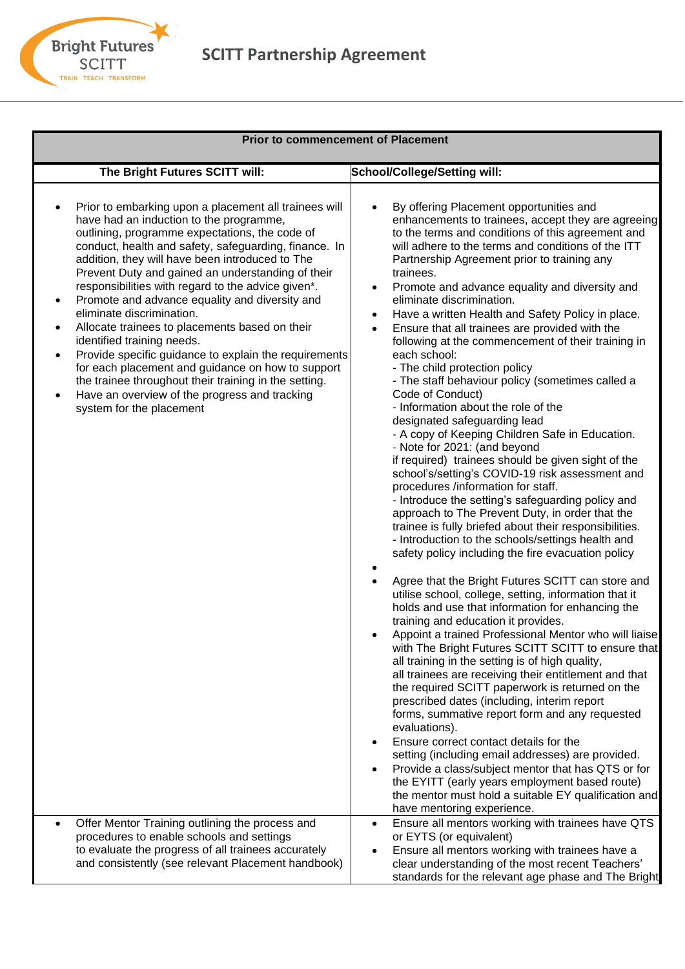

# **SCITT Partnership Agreement**

| <b>Prior to commencement of Placement</b>                                                                                                                                                                                                                                                                                                                                                                                                                                                                                                                                                                                                                                                                                                                                                                                                |                                                                                                                                                                                                                                                                                                                                                                                                                                                                                                                                                                                                                                                                                                                                                                                                                                                                                                                                                                                                                                                                                                                                                                                                                                                                                                                                                                                                                                                                                                                                                                                                                                                                                                                                                                                                                                                                                                                                                                                                                                                                                                                                                                          |  |
|------------------------------------------------------------------------------------------------------------------------------------------------------------------------------------------------------------------------------------------------------------------------------------------------------------------------------------------------------------------------------------------------------------------------------------------------------------------------------------------------------------------------------------------------------------------------------------------------------------------------------------------------------------------------------------------------------------------------------------------------------------------------------------------------------------------------------------------|--------------------------------------------------------------------------------------------------------------------------------------------------------------------------------------------------------------------------------------------------------------------------------------------------------------------------------------------------------------------------------------------------------------------------------------------------------------------------------------------------------------------------------------------------------------------------------------------------------------------------------------------------------------------------------------------------------------------------------------------------------------------------------------------------------------------------------------------------------------------------------------------------------------------------------------------------------------------------------------------------------------------------------------------------------------------------------------------------------------------------------------------------------------------------------------------------------------------------------------------------------------------------------------------------------------------------------------------------------------------------------------------------------------------------------------------------------------------------------------------------------------------------------------------------------------------------------------------------------------------------------------------------------------------------------------------------------------------------------------------------------------------------------------------------------------------------------------------------------------------------------------------------------------------------------------------------------------------------------------------------------------------------------------------------------------------------------------------------------------------------------------------------------------------------|--|
| The Bright Futures SCITT will:                                                                                                                                                                                                                                                                                                                                                                                                                                                                                                                                                                                                                                                                                                                                                                                                           | <b>School/College/Setting will:</b>                                                                                                                                                                                                                                                                                                                                                                                                                                                                                                                                                                                                                                                                                                                                                                                                                                                                                                                                                                                                                                                                                                                                                                                                                                                                                                                                                                                                                                                                                                                                                                                                                                                                                                                                                                                                                                                                                                                                                                                                                                                                                                                                      |  |
| Prior to embarking upon a placement all trainees will<br>have had an induction to the programme,<br>outlining, programme expectations, the code of<br>conduct, health and safety, safeguarding, finance. In<br>addition, they will have been introduced to The<br>Prevent Duty and gained an understanding of their<br>responsibilities with regard to the advice given*.<br>Promote and advance equality and diversity and<br>$\bullet$<br>eliminate discrimination.<br>Allocate trainees to placements based on their<br>$\bullet$<br>identified training needs.<br>Provide specific guidance to explain the requirements<br>٠<br>for each placement and guidance on how to support<br>the trainee throughout their training in the setting.<br>Have an overview of the progress and tracking<br>$\bullet$<br>system for the placement | By offering Placement opportunities and<br>enhancements to trainees, accept they are agreeing<br>to the terms and conditions of this agreement and<br>will adhere to the terms and conditions of the ITT<br>Partnership Agreement prior to training any<br>trainees.<br>Promote and advance equality and diversity and<br>$\bullet$<br>eliminate discrimination.<br>Have a written Health and Safety Policy in place.<br>$\bullet$<br>Ensure that all trainees are provided with the<br>$\bullet$<br>following at the commencement of their training in<br>each school:<br>- The child protection policy<br>- The staff behaviour policy (sometimes called a<br>Code of Conduct)<br>- Information about the role of the<br>designated safeguarding lead<br>- A copy of Keeping Children Safe in Education.<br>- Note for 2021: (and beyond<br>if required) trainees should be given sight of the<br>school's/setting's COVID-19 risk assessment and<br>procedures /information for staff.<br>- Introduce the setting's safeguarding policy and<br>approach to The Prevent Duty, in order that the<br>trainee is fully briefed about their responsibilities.<br>- Introduction to the schools/settings health and<br>safety policy including the fire evacuation policy<br>Agree that the Bright Futures SCITT can store and<br>$\bullet$<br>utilise school, college, setting, information that it<br>holds and use that information for enhancing the<br>training and education it provides.<br>Appoint a trained Professional Mentor who will liaise<br>with The Bright Futures SCITT SCITT to ensure that<br>all training in the setting is of high quality,<br>all trainees are receiving their entitlement and that<br>the required SCITT paperwork is returned on the<br>prescribed dates (including, interim report<br>forms, summative report form and any requested<br>evaluations).<br>Ensure correct contact details for the<br>setting (including email addresses) are provided.<br>Provide a class/subject mentor that has QTS or for<br>$\bullet$<br>the EYITT (early years employment based route)<br>the mentor must hold a suitable EY qualification and |  |
| Offer Mentor Training outlining the process and<br>٠<br>procedures to enable schools and settings<br>to evaluate the progress of all trainees accurately<br>and consistently (see relevant Placement handbook)                                                                                                                                                                                                                                                                                                                                                                                                                                                                                                                                                                                                                           | have mentoring experience.<br>Ensure all mentors working with trainees have QTS<br>$\bullet$<br>or EYTS (or equivalent)<br>Ensure all mentors working with trainees have a<br>$\bullet$<br>clear understanding of the most recent Teachers'<br>standards for the relevant age phase and The Bright                                                                                                                                                                                                                                                                                                                                                                                                                                                                                                                                                                                                                                                                                                                                                                                                                                                                                                                                                                                                                                                                                                                                                                                                                                                                                                                                                                                                                                                                                                                                                                                                                                                                                                                                                                                                                                                                       |  |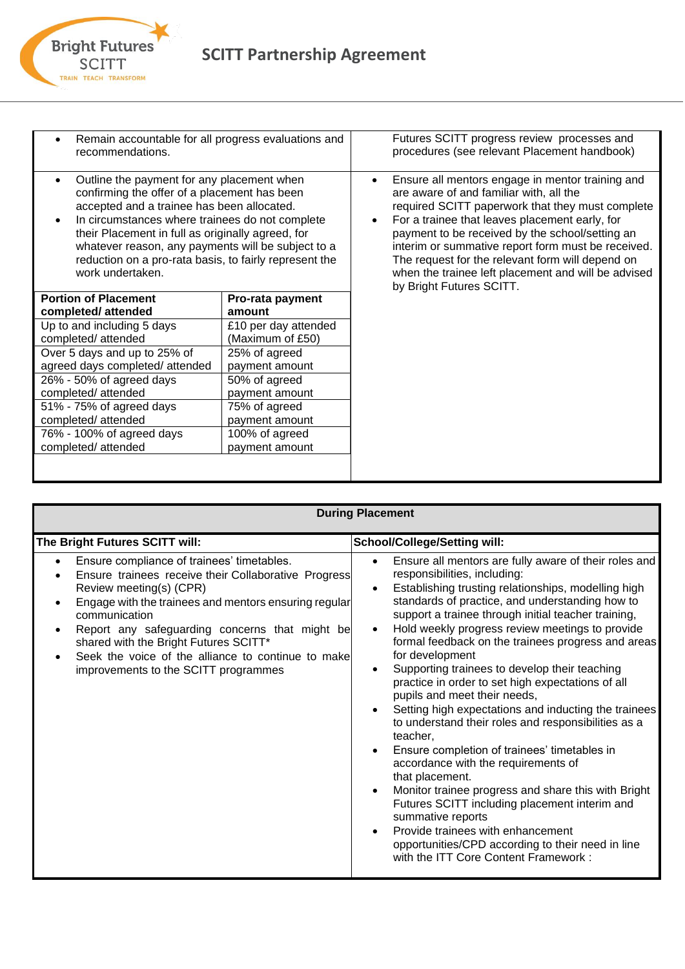

**Bright Futures SCITT** 

| Remain accountable for all progress evaluations and<br>recommendations.                                                                                                                                                                                                                                                                                                                           |                                          | Futures SCITT progress review processes and<br>procedures (see relevant Placement handbook)                                                                                                                                                                                                                                                                                                                                                       |
|---------------------------------------------------------------------------------------------------------------------------------------------------------------------------------------------------------------------------------------------------------------------------------------------------------------------------------------------------------------------------------------------------|------------------------------------------|---------------------------------------------------------------------------------------------------------------------------------------------------------------------------------------------------------------------------------------------------------------------------------------------------------------------------------------------------------------------------------------------------------------------------------------------------|
| Outline the payment for any placement when<br>confirming the offer of a placement has been<br>accepted and a trainee has been allocated.<br>In circumstances where trainees do not complete<br>$\bullet$<br>their Placement in full as originally agreed, for<br>whatever reason, any payments will be subject to a<br>reduction on a pro-rata basis, to fairly represent the<br>work undertaken. |                                          | Ensure all mentors engage in mentor training and<br>are aware of and familiar with, all the<br>required SCITT paperwork that they must complete<br>For a trainee that leaves placement early, for<br>payment to be received by the school/setting an<br>interim or summative report form must be received.<br>The request for the relevant form will depend on<br>when the trainee left placement and will be advised<br>by Bright Futures SCITT. |
| <b>Portion of Placement</b>                                                                                                                                                                                                                                                                                                                                                                       | Pro-rata payment                         |                                                                                                                                                                                                                                                                                                                                                                                                                                                   |
| completed/attended                                                                                                                                                                                                                                                                                                                                                                                | amount                                   |                                                                                                                                                                                                                                                                                                                                                                                                                                                   |
| Up to and including 5 days<br>completed/attended                                                                                                                                                                                                                                                                                                                                                  | £10 per day attended<br>(Maximum of £50) |                                                                                                                                                                                                                                                                                                                                                                                                                                                   |
| Over 5 days and up to 25% of<br>agreed days completed/attended                                                                                                                                                                                                                                                                                                                                    | 25% of agreed<br>payment amount          |                                                                                                                                                                                                                                                                                                                                                                                                                                                   |
| 26% - 50% of agreed days<br>completed/attended                                                                                                                                                                                                                                                                                                                                                    | 50% of agreed<br>payment amount          |                                                                                                                                                                                                                                                                                                                                                                                                                                                   |
| 51% - 75% of agreed days                                                                                                                                                                                                                                                                                                                                                                          | 75% of agreed                            |                                                                                                                                                                                                                                                                                                                                                                                                                                                   |
| completed/attended                                                                                                                                                                                                                                                                                                                                                                                | payment amount                           |                                                                                                                                                                                                                                                                                                                                                                                                                                                   |
| 76% - 100% of agreed days                                                                                                                                                                                                                                                                                                                                                                         | 100% of agreed                           |                                                                                                                                                                                                                                                                                                                                                                                                                                                   |
| completed/attended                                                                                                                                                                                                                                                                                                                                                                                | payment amount                           |                                                                                                                                                                                                                                                                                                                                                                                                                                                   |
|                                                                                                                                                                                                                                                                                                                                                                                                   |                                          |                                                                                                                                                                                                                                                                                                                                                                                                                                                   |

| <b>During Placement</b>                                                                                                                                                                                                                                                                                                                                                                                       |                                                                                                                                                                                                                                                                                                                                                                                                                                                                                                                                                                                                                                                                                                                                                                                                                                                                                                                                                                                                                                                                                                                                      |  |
|---------------------------------------------------------------------------------------------------------------------------------------------------------------------------------------------------------------------------------------------------------------------------------------------------------------------------------------------------------------------------------------------------------------|--------------------------------------------------------------------------------------------------------------------------------------------------------------------------------------------------------------------------------------------------------------------------------------------------------------------------------------------------------------------------------------------------------------------------------------------------------------------------------------------------------------------------------------------------------------------------------------------------------------------------------------------------------------------------------------------------------------------------------------------------------------------------------------------------------------------------------------------------------------------------------------------------------------------------------------------------------------------------------------------------------------------------------------------------------------------------------------------------------------------------------------|--|
| The Bright Futures SCITT will:                                                                                                                                                                                                                                                                                                                                                                                | <b>School/College/Setting will:</b>                                                                                                                                                                                                                                                                                                                                                                                                                                                                                                                                                                                                                                                                                                                                                                                                                                                                                                                                                                                                                                                                                                  |  |
| Ensure compliance of trainees' timetables.<br>$\bullet$<br>Ensure trainees receive their Collaborative Progress<br>Review meeting(s) (CPR)<br>Engage with the trainees and mentors ensuring regular<br>communication<br>Report any safeguarding concerns that might be<br>shared with the Bright Futures SCITT*<br>Seek the voice of the alliance to continue to make<br>improvements to the SCITT programmes | Ensure all mentors are fully aware of their roles and<br>$\bullet$<br>responsibilities, including:<br>Establishing trusting relationships, modelling high<br>$\bullet$<br>standards of practice, and understanding how to<br>support a trainee through initial teacher training,<br>Hold weekly progress review meetings to provide<br>$\bullet$<br>formal feedback on the trainees progress and areas<br>for development<br>Supporting trainees to develop their teaching<br>$\bullet$<br>practice in order to set high expectations of all<br>pupils and meet their needs,<br>Setting high expectations and inducting the trainees<br>$\bullet$<br>to understand their roles and responsibilities as a<br>teacher,<br>Ensure completion of trainees' timetables in<br>$\bullet$<br>accordance with the requirements of<br>that placement.<br>Monitor trainee progress and share this with Bright<br>$\bullet$<br>Futures SCITT including placement interim and<br>summative reports<br>Provide trainees with enhancement<br>$\bullet$<br>opportunities/CPD according to their need in line<br>with the ITT Core Content Framework: |  |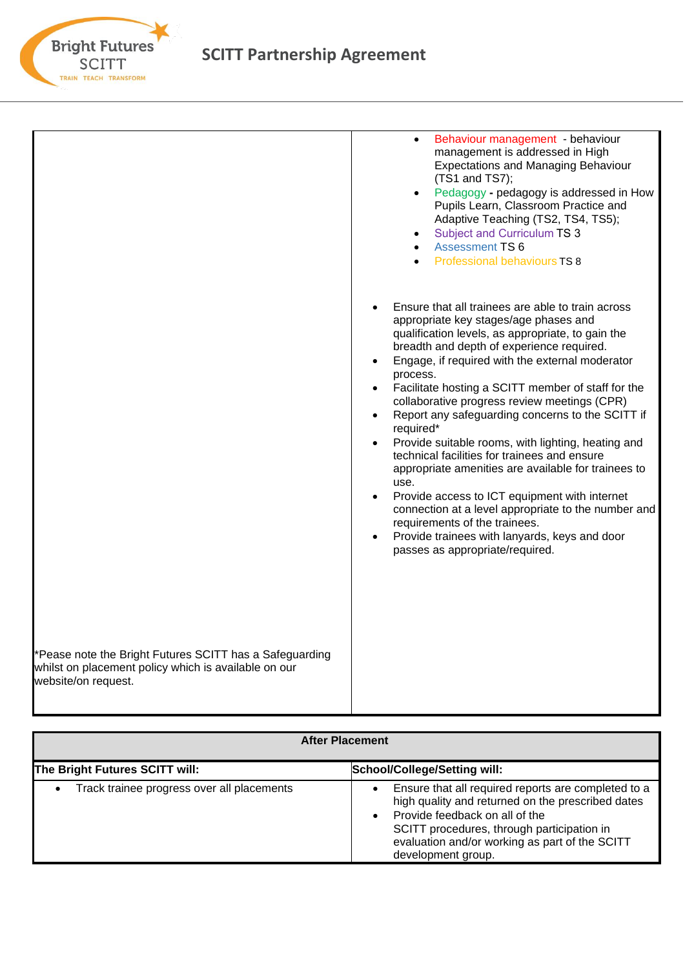

# **SCITT Partnership Agreement**

|                                                                                                                                        | Behaviour management - behaviour<br>management is addressed in High<br><b>Expectations and Managing Behaviour</b><br>(TS1 and TS7);<br>Pedagogy - pedagogy is addressed in How<br>$\bullet$<br>Pupils Learn, Classroom Practice and<br>Adaptive Teaching (TS2, TS4, TS5);<br>Subject and Curriculum TS 3<br><b>Assessment TS 6</b><br>Professional behaviours TS 8                                                                                                                                                                                                                                                                                                                                                                                                                                                                   |
|----------------------------------------------------------------------------------------------------------------------------------------|--------------------------------------------------------------------------------------------------------------------------------------------------------------------------------------------------------------------------------------------------------------------------------------------------------------------------------------------------------------------------------------------------------------------------------------------------------------------------------------------------------------------------------------------------------------------------------------------------------------------------------------------------------------------------------------------------------------------------------------------------------------------------------------------------------------------------------------|
|                                                                                                                                        | Ensure that all trainees are able to train across<br>appropriate key stages/age phases and<br>qualification levels, as appropriate, to gain the<br>breadth and depth of experience required.<br>Engage, if required with the external moderator<br>process.<br>Facilitate hosting a SCITT member of staff for the<br>collaborative progress review meetings (CPR)<br>Report any safeguarding concerns to the SCITT if<br>required*<br>Provide suitable rooms, with lighting, heating and<br>technical facilities for trainees and ensure<br>appropriate amenities are available for trainees to<br>use.<br>Provide access to ICT equipment with internet<br>connection at a level appropriate to the number and<br>requirements of the trainees.<br>Provide trainees with lanyards, keys and door<br>passes as appropriate/required. |
| *Pease note the Bright Futures SCITT has a Safeguarding<br>whilst on placement policy which is available on our<br>website/on request. |                                                                                                                                                                                                                                                                                                                                                                                                                                                                                                                                                                                                                                                                                                                                                                                                                                      |

| <b>After Placement</b>                     |                                                                                                                                                                                                                                                                  |  |
|--------------------------------------------|------------------------------------------------------------------------------------------------------------------------------------------------------------------------------------------------------------------------------------------------------------------|--|
| The Bright Futures SCITT will:             | <b>School/College/Setting will:</b>                                                                                                                                                                                                                              |  |
| Track trainee progress over all placements | Ensure that all required reports are completed to a<br>high quality and returned on the prescribed dates<br>Provide feedback on all of the<br>SCITT procedures, through participation in<br>evaluation and/or working as part of the SCITT<br>development group. |  |